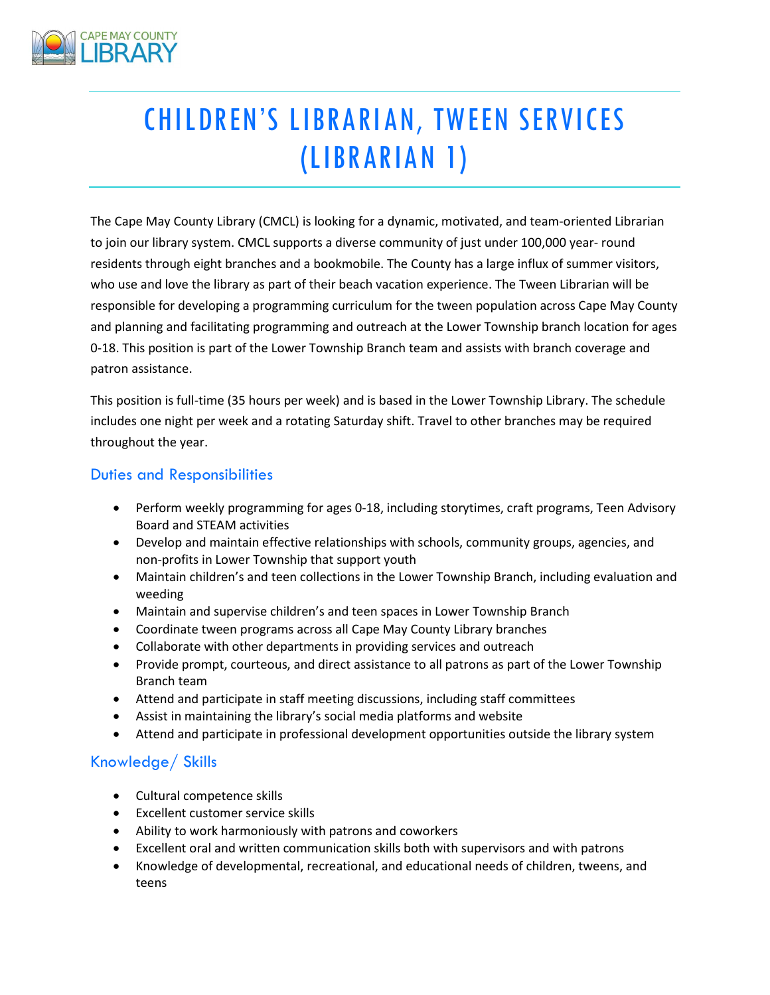

# CHILDREN'S LIBRARIAN, TWEEN SERVICES (LIBRARIAN 1)

The Cape May County Library (CMCL) is looking for a dynamic, motivated, and team-oriented Librarian to join our library system. CMCL supports a diverse community of just under 100,000 year- round residents through eight branches and a bookmobile. The County has a large influx of summer visitors, who use and love the library as part of their beach vacation experience. The Tween Librarian will be responsible for developing a programming curriculum for the tween population across Cape May County and planning and facilitating programming and outreach at the Lower Township branch location for ages 0-18. This position is part of the Lower Township Branch team and assists with branch coverage and patron assistance.

This position is full-time (35 hours per week) and is based in the Lower Township Library. The schedule includes one night per week and a rotating Saturday shift. Travel to other branches may be required throughout the year.

## Duties and Responsibilities

- Perform weekly programming for ages 0-18, including storytimes, craft programs, Teen Advisory Board and STEAM activities
- Develop and maintain effective relationships with schools, community groups, agencies, and non-profits in Lower Township that support youth
- Maintain children's and teen collections in the Lower Township Branch, including evaluation and weeding
- Maintain and supervise children's and teen spaces in Lower Township Branch
- Coordinate tween programs across all Cape May County Library branches
- Collaborate with other departments in providing services and outreach
- Provide prompt, courteous, and direct assistance to all patrons as part of the Lower Township Branch team
- Attend and participate in staff meeting discussions, including staff committees
- Assist in maintaining the library's social media platforms and website
- Attend and participate in professional development opportunities outside the library system

## Knowledge/ Skills

- Cultural competence skills
- Excellent customer service skills
- Ability to work harmoniously with patrons and coworkers
- Excellent oral and written communication skills both with supervisors and with patrons
- Knowledge of developmental, recreational, and educational needs of children, tweens, and teens